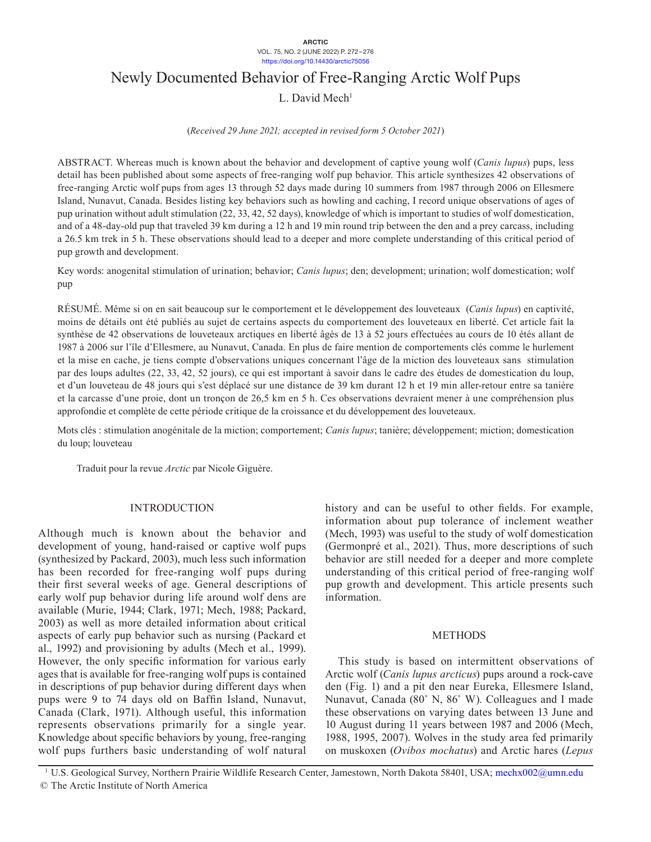# Newly Documented Behavior of Free-Ranging Arctic Wolf Pups

 $L.$  David Mech<sup>1</sup>

(*Received 29 June 2021; accepted in revised form 5 October 2021*)

ABSTRACT. Whereas much is known about the behavior and development of captive young wolf (*Canis lupus*) pups, less detail has been published about some aspects of free-ranging wolf pup behavior. This article synthesizes 42 observations of free-ranging Arctic wolf pups from ages 13 through 52 days made during 10 summers from 1987 through 2006 on Ellesmere Island, Nunavut, Canada. Besides listing key behaviors such as howling and caching, I record unique observations of ages of pup urination without adult stimulation (22, 33, 42, 52 days), knowledge of which is important to studies of wolf domestication, and of a 48-day-old pup that traveled 39 km during a 12 h and 19 min round trip between the den and a prey carcass, including a 26.5 km trek in 5 h. These observations should lead to a deeper and more complete understanding of this critical period of pup growth and development.

Key words: anogenital stimulation of urination; behavior; *Canis lupus*; den; development; urination; wolf domestication; wolf pup

RÉSUMÉ. Même si on en sait beaucoup sur le comportement et le développement des louveteaux (*Canis lupus*) en captivité, moins de détails ont été publiés au sujet de certains aspects du comportement des louveteaux en liberté. Cet article fait la synthèse de 42 observations de louveteaux arctiques en liberté âgés de 13 à 52 jours effectuées au cours de 10 étés allant de 1987 à 2006 sur l'île d'Ellesmere, au Nunavut, Canada. En plus de faire mention de comportements clés comme le hurlement et la mise en cache, je tiens compte d'observations uniques concernant l'âge de la miction des louveteaux sans stimulation par des loups adultes (22, 33, 42, 52 jours), ce qui est important à savoir dans le cadre des études de domestication du loup, et d'un louveteau de 48 jours qui s'est déplacé sur une distance de 39 km durant 12 h et 19 min aller-retour entre sa tanière et la carcasse d'une proie, dont un tronçon de 26,5 km en 5 h. Ces observations devraient mener à une compréhension plus approfondie et complète de cette période critique de la croissance et du développement des louveteaux.

Mots clés : stimulation anogénitale de la miction; comportement; *Canis lupus*; tanière; développement; miction; domestication du loup; louveteau

Traduit pour la revue *Arctic* par Nicole Giguère.

## INTRODUCTION

Although much is known about the behavior and development of young, hand-raised or captive wolf pups (synthesized by Packard, 2003), much less such information has been recorded for free-ranging wolf pups during their first several weeks of age. General descriptions of early wolf pup behavior during life around wolf dens are available (Murie, 1944; Clark, 1971; Mech, 1988; Packard, 2003) as well as more detailed information about critical aspects of early pup behavior such as nursing (Packard et al., 1992) and provisioning by adults (Mech et al., 1999). However, the only specific information for various early ages that is available for free-ranging wolf pups is contained in descriptions of pup behavior during different days when pups were 9 to 74 days old on Baffin Island, Nunavut, Canada (Clark, 1971). Although useful, this information represents observations primarily for a single year. Knowledge about specific behaviors by young, free-ranging wolf pups furthers basic understanding of wolf natural

history and can be useful to other fields. For example, information about pup tolerance of inclement weather (Mech, 1993) was useful to the study of wolf domestication (Germonpré et al., 2021). Thus, more descriptions of such behavior are still needed for a deeper and more complete understanding of this critical period of free-ranging wolf pup growth and development. This article presents such information.

### METHODS

This study is based on intermittent observations of Arctic wolf (*Canis lupus arcticus*) pups around a rock-cave den (Fig. 1) and a pit den near Eureka, Ellesmere Island, Nunavut, Canada (80˚ N, 86˚ W). Colleagues and I made these observations on varying dates between 13 June and 10 August during 11 years between 1987 and 2006 (Mech, 1988, 1995, 2007). Wolves in the study area fed primarily on muskoxen (*Ovibos mochatus*) and Arctic hares (*Lepus* 

<sup>1</sup> U.S. Geological Survey, Northern Prairie Wildlife Research Center, Jamestown, North Dakota 58401, USA; [mechx002@umn.edu](mailto:mechx002@umn.edu) © The Arctic Institute of North America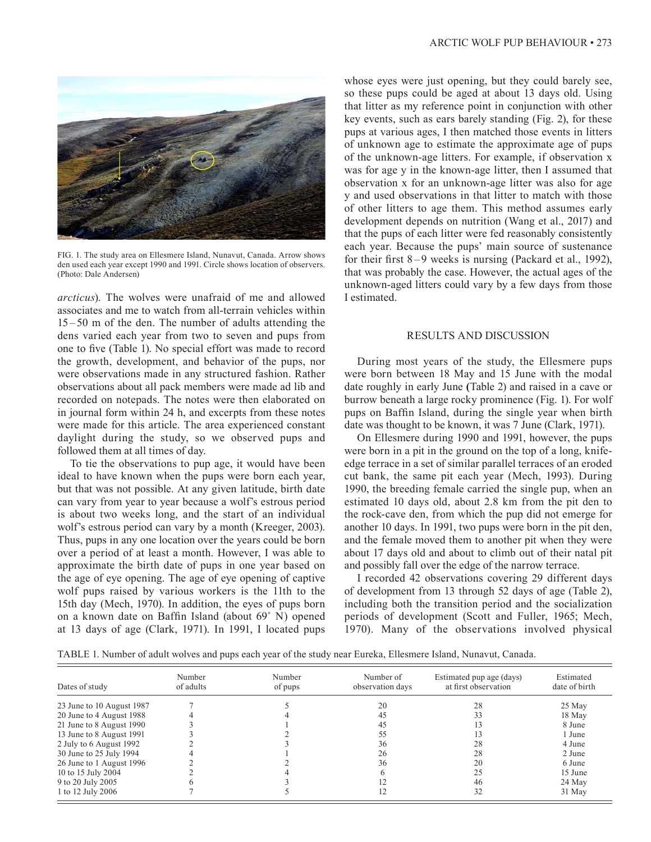

FIG. 1. The study area on Ellesmere Island, Nunavut, Canada. Arrow shows den used each year except 1990 and 1991. Circle shows location of observers. (Photo: Dale Andersen)

*arcticus*). The wolves were unafraid of me and allowed associates and me to watch from all-terrain vehicles within 15 – 50 m of the den. The number of adults attending the dens varied each year from two to seven and pups from one to five (Table 1). No special effort was made to record the growth, development, and behavior of the pups, nor were observations made in any structured fashion. Rather observations about all pack members were made ad lib and recorded on notepads. The notes were then elaborated on in journal form within 24 h, and excerpts from these notes were made for this article. The area experienced constant daylight during the study, so we observed pups and followed them at all times of day.

To tie the observations to pup age, it would have been ideal to have known when the pups were born each year, but that was not possible. At any given latitude, birth date can vary from year to year because a wolf's estrous period is about two weeks long, and the start of an individual wolf's estrous period can vary by a month (Kreeger, 2003). Thus, pups in any one location over the years could be born over a period of at least a month. However, I was able to approximate the birth date of pups in one year based on the age of eye opening. The age of eye opening of captive wolf pups raised by various workers is the 11th to the 15th day (Mech, 1970). In addition, the eyes of pups born on a known date on Baffin Island (about 69˚ N) opened at 13 days of age (Clark, 1971). In 1991, I located pups

whose eyes were just opening, but they could barely see, so these pups could be aged at about 13 days old. Using that litter as my reference point in conjunction with other key events, such as ears barely standing (Fig. 2), for these pups at various ages, I then matched those events in litters of unknown age to estimate the approximate age of pups of the unknown-age litters. For example, if observation x was for age y in the known-age litter, then I assumed that observation x for an unknown-age litter was also for age y and used observations in that litter to match with those of other litters to age them. This method assumes early development depends on nutrition (Wang et al., 2017) and that the pups of each litter were fed reasonably consistently each year. Because the pups' main source of sustenance for their first  $8-9$  weeks is nursing (Packard et al., 1992), that was probably the case. However, the actual ages of the unknown-aged litters could vary by a few days from those I estimated.

### RESULTS AND DISCUSSION

During most years of the study, the Ellesmere pups were born between 18 May and 15 June with the modal date roughly in early June **(**Table 2) and raised in a cave or burrow beneath a large rocky prominence (Fig. 1). For wolf pups on Baffin Island, during the single year when birth date was thought to be known, it was 7 June (Clark, 1971).

On Ellesmere during 1990 and 1991, however, the pups were born in a pit in the ground on the top of a long, knifeedge terrace in a set of similar parallel terraces of an eroded cut bank, the same pit each year (Mech, 1993). During 1990, the breeding female carried the single pup, when an estimated 10 days old, about 2.8 km from the pit den to the rock-cave den, from which the pup did not emerge for another 10 days. In 1991, two pups were born in the pit den, and the female moved them to another pit when they were about 17 days old and about to climb out of their natal pit and possibly fall over the edge of the narrow terrace.

I recorded 42 observations covering 29 different days of development from 13 through 52 days of age (Table 2), including both the transition period and the socialization periods of development (Scott and Fuller, 1965; Mech, 1970). Many of the observations involved physical

TABLE 1. Number of adult wolves and pups each year of the study near Eureka, Ellesmere Island, Nunavut, Canada.

| Dates of study            | Number<br>of adults | Number<br>of pups | Number of<br>observation days | Estimated pup age (days)<br>at first observation | Estimated<br>date of birth |
|---------------------------|---------------------|-------------------|-------------------------------|--------------------------------------------------|----------------------------|
| 23 June to 10 August 1987 |                     |                   | 20                            | 28                                               | 25 May                     |
| 20 June to 4 August 1988  |                     |                   | 45                            |                                                  | 18 May                     |
| 21 June to 8 August 1990  |                     |                   | 45                            |                                                  | 8 June                     |
| 13 June to 8 August 1991  |                     |                   |                               |                                                  | 1 June                     |
| 2 July to 6 August 1992   |                     |                   | 36                            | 28                                               | 4 June                     |
| 30 June to 25 July 1994   |                     |                   | 26                            | 28                                               | 2 June                     |
| 26 June to 1 August 1996  |                     |                   | 36                            | 20                                               | 6 June                     |
| 10 to 15 July 2004        |                     |                   |                               | 25                                               | 15 June                    |
| 9 to 20 July 2005         |                     |                   |                               | 46                                               | 24 May                     |
| 1 to 12 July 2006         |                     |                   |                               | 32                                               | 31 May                     |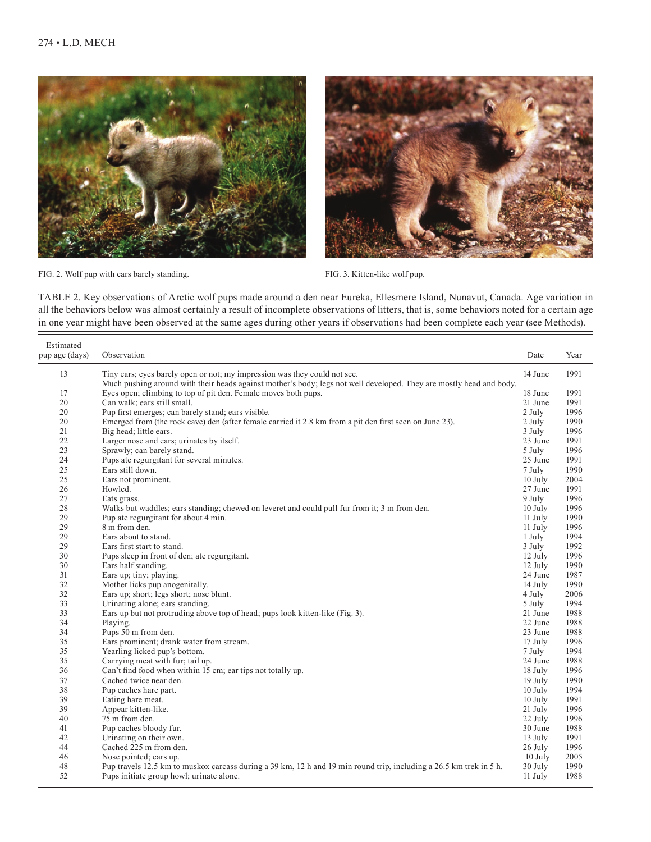



FIG. 2. Wolf pup with ears barely standing.

FIG. 3. Kitten-like wolf pup.

TABLE 2. Key observations of Arctic wolf pups made around a den near Eureka, Ellesmere Island, Nunavut, Canada. Age variation in all the behaviors below was almost certainly a result of incomplete observations of litters, that is, some behaviors noted for a certain age in one year might have been observed at the same ages during other years if observations had been complete each year (see Methods).

| Estimated<br>pup age (days) | Observation                                                                                                         | Date      | Year |
|-----------------------------|---------------------------------------------------------------------------------------------------------------------|-----------|------|
| 13                          | Tiny ears; eyes barely open or not; my impression was they could not see.                                           | 14 June   | 1991 |
|                             | Much pushing around with their heads against mother's body; legs not well developed. They are mostly head and body. |           |      |
| 17                          | Eyes open; climbing to top of pit den. Female moves both pups.                                                      | 18 June   | 1991 |
| 20                          | Can walk; ears still small.                                                                                         | 21 June   | 1991 |
| 20                          | Pup first emerges; can barely stand; ears visible.                                                                  | 2 July    | 1996 |
| 20                          | Emerged from (the rock cave) den (after female carried it 2.8 km from a pit den first seen on June 23).             | 2 July    | 1990 |
| 21                          | Big head; little ears.                                                                                              | 3 July    | 1996 |
| 22                          | Larger nose and ears; urinates by itself.                                                                           | 23 June   | 1991 |
| 23                          | Sprawly; can barely stand.                                                                                          | 5 July    | 1996 |
| 24                          | Pups ate regurgitant for several minutes.                                                                           | 25 June   | 1991 |
| 25                          | Ears still down.                                                                                                    | 7 July    | 1990 |
| 25                          | Ears not prominent.                                                                                                 | $10$ July | 2004 |
| 26                          | Howled.                                                                                                             | 27 June   | 1991 |
| 27                          | Eats grass.                                                                                                         | 9 July    | 1996 |
| 28                          | Walks but waddles; ears standing; chewed on leveret and could pull fur from it; 3 m from den.                       | 10 July   | 1996 |
| 29                          | Pup ate regurgitant for about 4 min.                                                                                | 11 July   | 1990 |
| 29                          | 8 m from den.                                                                                                       | 11 July   | 1996 |
| 29                          | Ears about to stand.                                                                                                | 1 July    | 1994 |
| 29                          | Ears first start to stand.                                                                                          | 3 July    | 1992 |
| 30                          | Pups sleep in front of den; ate regurgitant.                                                                        | 12 July   | 1996 |
| 30                          | Ears half standing.                                                                                                 | 12 July   | 1990 |
| 31                          | Ears up; tiny; playing.                                                                                             | 24 June   | 1987 |
| 32                          | Mother licks pup anogenitally.                                                                                      | 14 July   | 1990 |
| 32                          | Ears up; short; legs short; nose blunt.                                                                             | 4 July    | 2006 |
| 33                          | Urinating alone; ears standing.                                                                                     | 5 July    | 1994 |
| 33                          | Ears up but not protruding above top of head; pups look kitten-like (Fig. 3).                                       | 21 June   | 1988 |
| 34                          | Playing.                                                                                                            | 22 June   | 1988 |
| 34                          | Pups 50 m from den.                                                                                                 | 23 June   | 1988 |
| 35                          | Ears prominent; drank water from stream.                                                                            | 17 July   | 1996 |
| 35                          | Yearling licked pup's bottom.                                                                                       | 7 July    | 1994 |
| 35                          | Carrying meat with fur; tail up.                                                                                    | 24 June   | 1988 |
| 36                          | Can't find food when within 15 cm; ear tips not totally up.                                                         | 18 July   | 1996 |
| 37                          | Cached twice near den.                                                                                              | 19 July   | 1990 |
| 38                          | Pup caches hare part.                                                                                               | 10 July   | 1994 |
| 39                          | Eating hare meat.                                                                                                   | 10 July   | 1991 |
| 39                          | Appear kitten-like.                                                                                                 | 21 July   | 1996 |
| 40                          | 75 m from den.                                                                                                      | 22 July   | 1996 |
| 41                          | Pup caches bloody fur.                                                                                              | 30 June   | 1988 |
| 42                          | Urinating on their own.                                                                                             | 13 July   | 1991 |
| 44                          | Cached 225 m from den.                                                                                              | 26 July   | 1996 |
| 46                          | Nose pointed; ears up.                                                                                              | 10 July   | 2005 |
| 48                          | Pup travels 12.5 km to muskox carcass during a 39 km, 12 h and 19 min round trip, including a 26.5 km trek in 5 h.  | 30 July   | 1990 |
| 52                          | Pups initiate group howl; urinate alone.                                                                            | 11 July   | 1988 |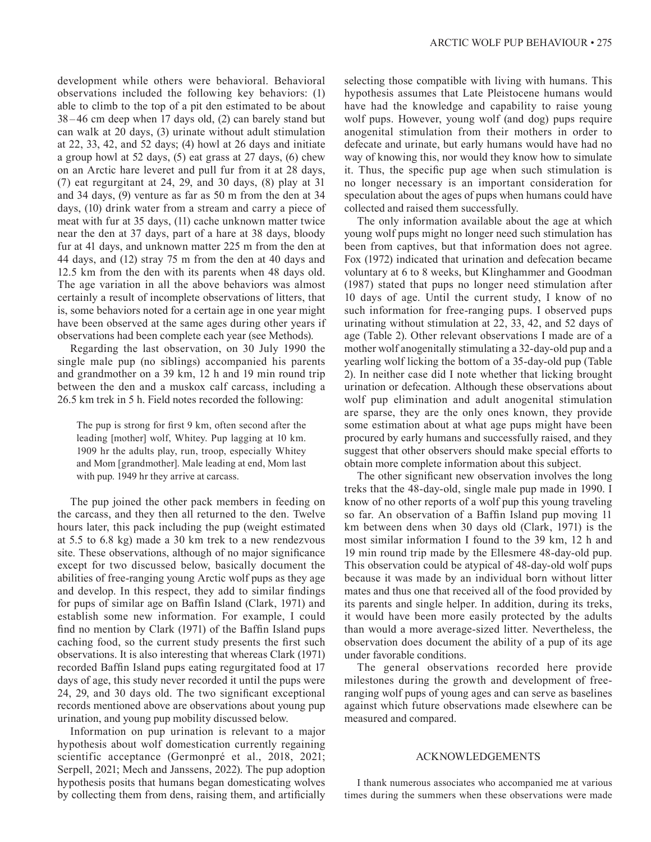development while others were behavioral. Behavioral observations included the following key behaviors: (1) able to climb to the top of a pit den estimated to be about 38 –46 cm deep when 17 days old, (2) can barely stand but can walk at 20 days, (3) urinate without adult stimulation at 22, 33, 42, and 52 days; (4) howl at 26 days and initiate a group howl at 52 days, (5) eat grass at 27 days, (6) chew on an Arctic hare leveret and pull fur from it at 28 days, (7) eat regurgitant at 24, 29, and 30 days, (8) play at 31 and 34 days, (9) venture as far as 50 m from the den at 34 days, (10) drink water from a stream and carry a piece of meat with fur at 35 days, (11) cache unknown matter twice near the den at 37 days, part of a hare at 38 days, bloody fur at 41 days, and unknown matter 225 m from the den at 44 days, and (12) stray 75 m from the den at 40 days and 12.5 km from the den with its parents when 48 days old. The age variation in all the above behaviors was almost certainly a result of incomplete observations of litters, that is, some behaviors noted for a certain age in one year might have been observed at the same ages during other years if observations had been complete each year (see Methods).

Regarding the last observation, on 30 July 1990 the single male pup (no siblings) accompanied his parents and grandmother on a 39 km, 12 h and 19 min round trip between the den and a muskox calf carcass, including a 26.5 km trek in 5 h. Field notes recorded the following:

The pup is strong for first 9 km, often second after the leading [mother] wolf, Whitey. Pup lagging at 10 km. 1909 hr the adults play, run, troop, especially Whitey and Mom [grandmother]. Male leading at end, Mom last with pup. 1949 hr they arrive at carcass.

The pup joined the other pack members in feeding on the carcass, and they then all returned to the den. Twelve hours later, this pack including the pup (weight estimated at 5.5 to 6.8 kg) made a 30 km trek to a new rendezvous site. These observations, although of no major significance except for two discussed below, basically document the abilities of free-ranging young Arctic wolf pups as they age and develop. In this respect, they add to similar findings for pups of similar age on Baffin Island (Clark, 1971) and establish some new information. For example, I could find no mention by Clark (1971) of the Baffin Island pups caching food, so the current study presents the first such observations. It is also interesting that whereas Clark (1971) recorded Baffin Island pups eating regurgitated food at 17 days of age, this study never recorded it until the pups were 24, 29, and 30 days old. The two significant exceptional records mentioned above are observations about young pup urination, and young pup mobility discussed below.

Information on pup urination is relevant to a major hypothesis about wolf domestication currently regaining scientific acceptance (Germonpré et al., 2018, 2021; Serpell, 2021; Mech and Janssens, 2022). The pup adoption hypothesis posits that humans began domesticating wolves by collecting them from dens, raising them, and artificially

selecting those compatible with living with humans. This hypothesis assumes that Late Pleistocene humans would have had the knowledge and capability to raise young wolf pups. However, young wolf (and dog) pups require anogenital stimulation from their mothers in order to defecate and urinate, but early humans would have had no way of knowing this, nor would they know how to simulate it. Thus, the specific pup age when such stimulation is no longer necessary is an important consideration for speculation about the ages of pups when humans could have collected and raised them successfully.

The only information available about the age at which young wolf pups might no longer need such stimulation has been from captives, but that information does not agree. Fox (1972) indicated that urination and defecation became voluntary at 6 to 8 weeks, but Klinghammer and Goodman (1987) stated that pups no longer need stimulation after 10 days of age. Until the current study, I know of no such information for free-ranging pups. I observed pups urinating without stimulation at 22, 33, 42, and 52 days of age (Table 2). Other relevant observations I made are of a mother wolf anogenitally stimulating a 32-day-old pup and a yearling wolf licking the bottom of a 35-day-old pup (Table 2). In neither case did I note whether that licking brought urination or defecation. Although these observations about wolf pup elimination and adult anogenital stimulation are sparse, they are the only ones known, they provide some estimation about at what age pups might have been procured by early humans and successfully raised, and they suggest that other observers should make special efforts to obtain more complete information about this subject.

The other significant new observation involves the long treks that the 48-day-old, single male pup made in 1990. I know of no other reports of a wolf pup this young traveling so far. An observation of a Baffin Island pup moving 11 km between dens when 30 days old (Clark, 1971) is the most similar information I found to the 39 km, 12 h and 19 min round trip made by the Ellesmere 48-day-old pup. This observation could be atypical of 48-day-old wolf pups because it was made by an individual born without litter mates and thus one that received all of the food provided by its parents and single helper. In addition, during its treks, it would have been more easily protected by the adults than would a more average-sized litter. Nevertheless, the observation does document the ability of a pup of its age under favorable conditions.

The general observations recorded here provide milestones during the growth and development of freeranging wolf pups of young ages and can serve as baselines against which future observations made elsewhere can be measured and compared.

#### ACKNOWLEDGEMENTS

I thank numerous associates who accompanied me at various times during the summers when these observations were made